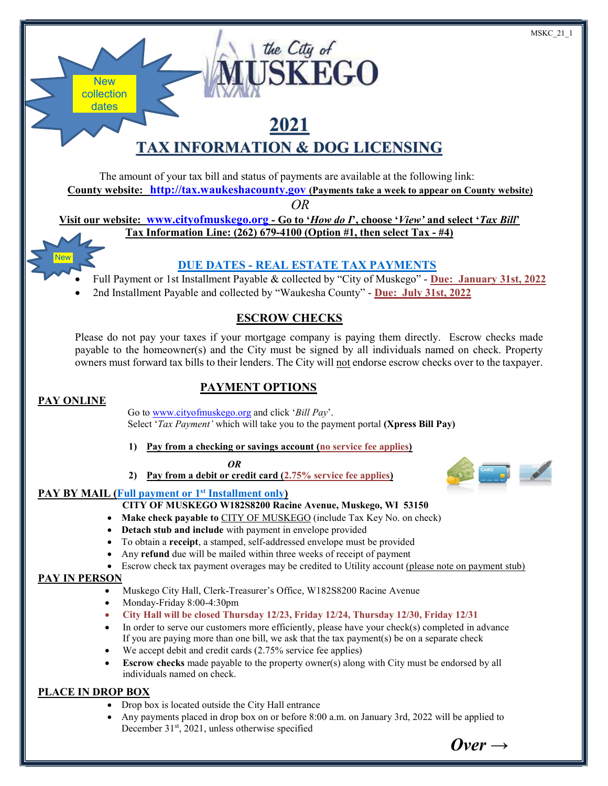# 2021 TAX INFORMATION & DOG LICENSING

the City of

**ISKEGO** 

The amount of your tax bill and status of payments are available at the following link: County website: http://tax.waukeshacounty.gov (Payments take a week to appear on County website)

OR

Visit our website: www.cityofmuskego.org - Go to 'How do I', choose 'View' and select 'Tax Bill' Tax Information Line: (262) 679-4100 (Option #1, then select Tax - #4)

# DUE DATES - REAL ESTATE TAX PAYMENTS

- Full Payment or 1st Installment Payable & collected by "City of Muskego" Due: January 31st, 2022
- 2nd Installment Payable and collected by "Waukesha County" Due: July 31st, 2022

# ESCROW CHECKS

Please do not pay your taxes if your mortgage company is paying them directly. Escrow checks made payable to the homeowner(s) and the City must be signed by all individuals named on check. Property owners must forward tax bills to their lenders. The City will not endorse escrow checks over to the taxpayer.

# PAYMENT OPTIONS

# PAY ONLINE

**New** 

**New** collection dates

> Go to www.cityofmuskego.org and click 'Bill Pay'. Select '*Tax Payment'* which will take you to the payment portal (**Xpress Bill Pay**)

1) Pay from a checking or savings account (no service fee applies)

#### OR

2) Pay from a debit or credit card  $(2.75\%$  service fee applies)

### PAY BY MAIL (Full payment or 1<sup>st</sup> Installment only)

- CITY OF MUSKEGO W182S8200 Racine Avenue, Muskego, WI 53150
- Make check payable to CITY OF MUSKEGO (include Tax Key No. on check)
- Detach stub and include with payment in envelope provided
- To obtain a receipt, a stamped, self-addressed envelope must be provided
- Any refund due will be mailed within three weeks of receipt of payment
- **Example 1** Escrow check tax payment overages may be credited to Utility account (please note on payment stub)

#### PAY IN PERSON

- Muskego City Hall, Clerk-Treasurer's Office, W182S8200 Racine Avenue
- Monday-Friday 8:00-4:30pm
	- City Hall will be closed Thursday 12/23, Friday 12/24, Thursday 12/30, Friday 12/31
- In order to serve our customers more efficiently, please have your check(s) completed in advance If you are paying more than one bill, we ask that the tax payment(s) be on a separate check
- We accept debit and credit cards  $(2.75\% \text{ service fee applies})$
- Escrow checks made payable to the property owner(s) along with City must be endorsed by all individuals named on check.

### PLACE IN DROP BOX

- Drop box is located outside the City Hall entrance
- Any payments placed in drop box on or before 8:00 a.m. on January 3rd, 2022 will be applied to December 31<sup>st</sup>, 2021, unless otherwise specified

 $\boldsymbol{Over} \rightarrow$